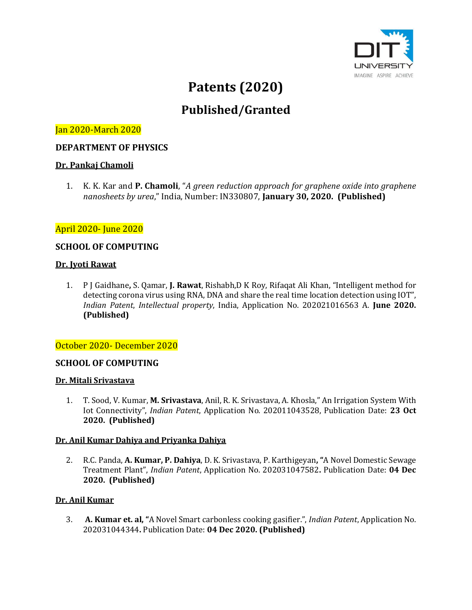

# **Patents (2020)**

# **Published/Granted**

# Jan 2020-March 2020

## **DEPARTMENT OF PHYSICS**

#### **Dr. Pankaj Chamoli**

1. K. K. Kar and **P. Chamoli**, "*A green reduction approach for graphene oxide into graphene nanosheets by urea*," India, Number: IN330807, **January 30, 2020. (Published)**

## April 2020- June 2020

#### **SCHOOL OF COMPUTING**

#### **Dr. Jyoti Rawat**

1. P J Gaidhane**,** S. Qamar, **J. Rawat**, Rishabh,D K Roy, Rifaqat Ali Khan, "Intelligent method for detecting corona virus using RNA, DNA and share the real time location detection using IOT", *Indian Patent*, *Intellectual property*, India, Application No. 202021016563 A. **June 2020. (Published)**

#### October 2020- December 2020

#### **SCHOOL OF COMPUTING**

#### **Dr. Mitali Srivastava**

1. T. Sood, V. Kumar, **M. Srivastava**, Anil, R. K. Srivastava, A. Khosla," An Irrigation System With Iot Connectivity", *Indian Patent*, Application No. 202011043528, Publication Date: **23 Oct 2020. (Published)**

#### **Dr. Anil Kumar Dahiya and Priyanka Dahiya**

2. R.C. Panda, **A. Kumar, P. Dahiya**, D. K. Srivastava, P. Karthigeyan**, "**A Novel Domestic Sewage Treatment Plant", *Indian Patent*, Application No. 202031047582**.** Publication Date: **04 Dec 2020. (Published)**

#### **Dr. Anil Kumar**

3. **A. Kumar et. al, "**A Novel Smart carbonless cooking gasifier.", *Indian Patent*, Application No. 202031044344**.** Publication Date: **04 Dec 2020. (Published)**